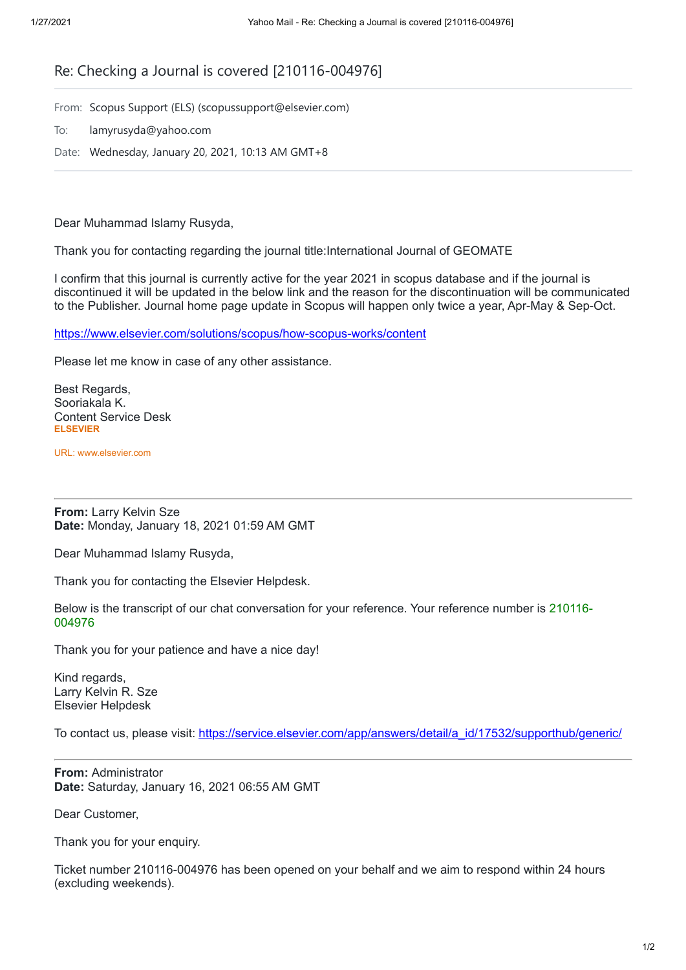## Re: Checking a Journal is covered [210116-004976]

From: Scopus Support (ELS) (scopussupport@elsevier.com)

To: lamyrusyda@yahoo.com

Date: Wednesday, January 20, 2021, 10:13 AM GMT+8

Dear Muhammad Islamy Rusyda,

Thank you for contacting regarding the journal title:International Journal of GEOMATE

I confirm that this journal is currently active for the year 2021 in scopus database and if the journal is discontinued it will be updated in the below link and the reason for the discontinuation will be communicated to the Publisher. Journal home page update in Scopus will happen only twice a year, Apr-May & Sep-Oct.

<https://www.elsevier.com/solutions/scopus/how-scopus-works/content>

Please let me know in case of any other assistance.

Best Regards, Sooriakala K. Content Service Desk **ELSEVIER**

URL: www.elsevier.com

**From:** Larry Kelvin Sze **Date:** Monday, January 18, 2021 01:59 AM GMT

Dear Muhammad Islamy Rusyda,

Thank you for contacting the Elsevier Helpdesk.

Below is the transcript of our chat conversation for your reference. Your reference number is 210116- 004976

Thank you for your patience and have a nice day!

Kind regards, Larry Kelvin R. Sze Elsevier Helpdesk

To contact us, please visit: [https://service.elsevier.com/app/answers/detail/a\\_id/17532/supporthub/generic/](https://service.elsevier.com/app/answers/detail/a_id/17532/supporthub/generic/track/BvM~wwqLDv8Y~Yi4GnEa~yCg0aEqai75Mv~~~zj~PP82)

**From:** Administrator **Date:** Saturday, January 16, 2021 06:55 AM GMT

Dear Customer,

Thank you for your enquiry.

Ticket number 210116-004976 has been opened on your behalf and we aim to respond within 24 hours (excluding weekends).